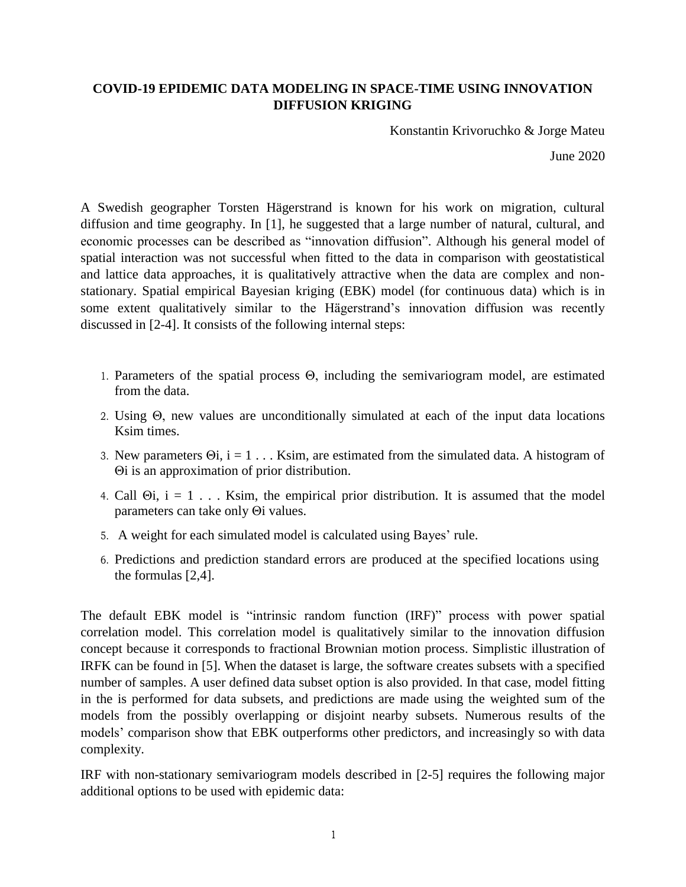## **COVID-19 EPIDEMIC DATA MODELING IN SPACE-TIME USING INNOVATION DIFFUSION KRIGING**

Konstantin Krivoruchko & Jorge Mateu

June 2020

A Swedish geographer Torsten Hägerstrand is known for his work on migration, cultural diffusion and time geography. In [1], he suggested that a large number of natural, cultural, and economic processes can be described as "innovation diffusion". Although his general model of spatial interaction was not successful when fitted to the data in comparison with geostatistical and lattice data approaches, it is qualitatively attractive when the data are complex and nonstationary. Spatial empirical Bayesian kriging (EBK) model (for continuous data) which is in some extent qualitatively similar to the Hägerstrand's innovation diffusion was recently discussed in [2-4]. It consists of the following internal steps:

- 1. Parameters of the spatial process Θ, including the semivariogram model, are estimated from the data.
- 2. Using Θ, new values are unconditionally simulated at each of the input data locations Ksim times.
- 3. New parameters  $\Theta$ i, i = 1 . . . Ksim, are estimated from the simulated data. A histogram of Θi is an approximation of prior distribution.
- 4. Call  $\Theta$ i, i = 1... Ksim, the empirical prior distribution. It is assumed that the model parameters can take only Θi values.
- 5. A weight for each simulated model is calculated using Bayes' rule.
- 6. Predictions and prediction standard errors are produced at the specified locations using the formulas [2,4].

The default EBK model is "intrinsic random function (IRF)" process with power spatial correlation model. This correlation model is qualitatively similar to the innovation diffusion concept because it corresponds to fractional Brownian motion process. Simplistic illustration of IRFK can be found in [5]. When the dataset is large, the software creates subsets with a specified number of samples. A user defined data subset option is also provided. In that case, model fitting in the is performed for data subsets, and predictions are made using the weighted sum of the models from the possibly overlapping or disjoint nearby subsets. Numerous results of the models' comparison show that EBK outperforms other predictors, and increasingly so with data complexity.

IRF with non-stationary semivariogram models described in [2-5] requires the following major additional options to be used with epidemic data: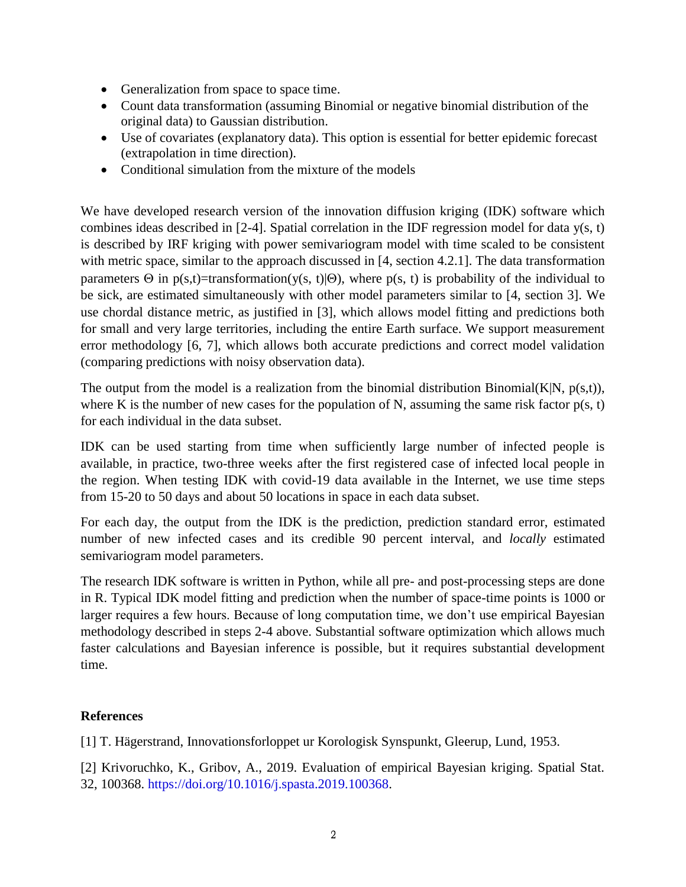- Generalization from space to space time.
- Count data transformation (assuming Binomial or negative binomial distribution of the original data) to Gaussian distribution.
- Use of covariates (explanatory data). This option is essential for better epidemic forecast (extrapolation in time direction).
- Conditional simulation from the mixture of the models

We have developed research version of the innovation diffusion kriging (IDK) software which combines ideas described in [2-4]. Spatial correlation in the IDF regression model for data y(s, t) is described by IRF kriging with power semivariogram model with time scaled to be consistent with metric space, similar to the approach discussed in [4, section 4.2.1]. The data transformation parameters  $\Theta$  in p(s,t)=transformation(y(s, t)| $\Theta$ ), where p(s, t) is probability of the individual to be sick, are estimated simultaneously with other model parameters similar to [4, section 3]. We use chordal distance metric, as justified in [3], which allows model fitting and predictions both for small and very large territories, including the entire Earth surface. We support measurement error methodology [6, 7], which allows both accurate predictions and correct model validation (comparing predictions with noisy observation data).

The output from the model is a realization from the binomial distribution Binomial( $K|N$ ,  $p(s,t)$ ), where K is the number of new cases for the population of N, assuming the same risk factor  $p(s, t)$ for each individual in the data subset.

IDK can be used starting from time when sufficiently large number of infected people is available, in practice, two-three weeks after the first registered case of infected local people in the region. When testing IDK with covid-19 data available in the Internet, we use time steps from 15-20 to 50 days and about 50 locations in space in each data subset.

For each day, the output from the IDK is the prediction, prediction standard error, estimated number of new infected cases and its credible 90 percent interval, and *locally* estimated semivariogram model parameters.

The research IDK software is written in Python, while all pre- and post-processing steps are done in R. Typical IDK model fitting and prediction when the number of space-time points is 1000 or larger requires a few hours. Because of long computation time, we don't use empirical Bayesian methodology described in steps 2-4 above. Substantial software optimization which allows much faster calculations and Bayesian inference is possible, but it requires substantial development time.

## **References**

[1] T. Hägerstrand, Innovationsforloppet ur Korologisk Synspunkt, Gleerup, Lund, 1953.

[2] Krivoruchko, K., Gribov, A., 2019. Evaluation of empirical Bayesian kriging. Spatial Stat. 32, 100368. https://doi.org/10.1016/j.spasta.2019.100368.